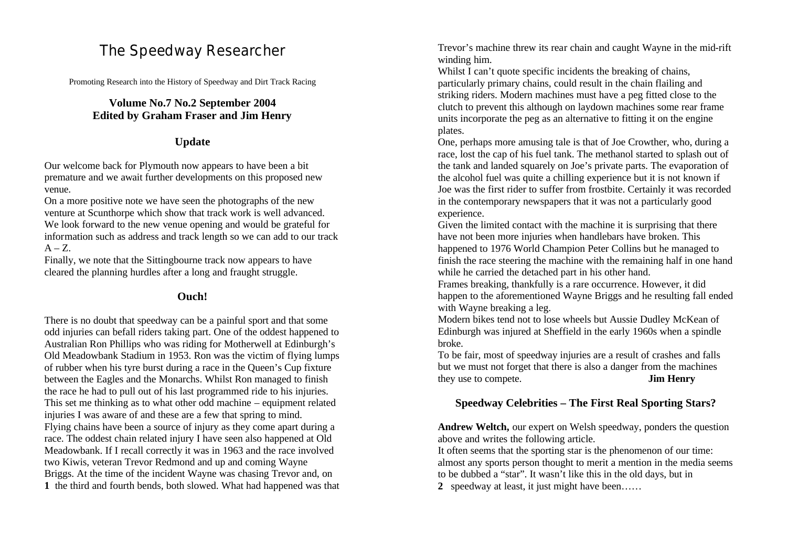# The Speedway Researcher

Promoting Research into the History of Speedway and Dirt Track Racing

# **Volume No.7 No.2 September 2004 Edited by Graham Fraser and Jim Henry**

# **Update**

Our welcome back for Plymouth now appears to have been a bit premature and we await further developments on this proposed new venue.

On a more positive note we have seen the photographs of the new venture at Scunthorpe which show that track work is well advanced. We look forward to the new venue opening and would be grateful for information such as address and track length so we can add to our track  $A - Z$ .

Finally, we note that the Sittingbourne track now appears to have cleared the planning hurdles after a long and fraught struggle.

# **Ouch!**

There is no doubt that speedway can be a painful sport and that some odd injuries can befall riders taking part. One of the oddest happened to Australian Ron Phillips who was riding for Motherwell at Edinburgh's Old Meadowbank Stadium in 1953. Ron was the victim of flying lumps of rubber when his tyre burst during a race in the Queen's Cup fixture between the Eagles and the Monarchs. Whilst Ron managed to finish the race he had to pull out of his last programmed ride to his injuries. This set me thinking as to what other odd machine – equipment related injuries I was aware of and these are a few that spring to mind. Flying chains have been a source of injury as they come apart during a race. The oddest chain related injury I have seen also happened at Old Meadowbank. If I recall correctly it was in 1963 and the race involved two Kiwis, veteran Trevor Redmond and up and coming Wayne Briggs. At the time of the incident Wayne was chasing Trevor and, on **1** the third and fourth bends, both slowed. What had happened was that Trevor's machine threw its rear chain and caught Wayne in the mid-rift winding him.

Whilst I can't quote specific incidents the breaking of chains, particularly primary chains, could result in the chain flailing and striking riders. Modern machines must have a peg fitted close to the clutch to prevent this although on laydown machines some rear frame units incorporate the peg as an alternative to fitting it on the engine plates.

One, perhaps more amusing tale is that of Joe Crowther, who, during a race, lost the cap of his fuel tank. The methanol started to splash out of the tank and landed squarely on Joe's private parts. The evaporation of the alcohol fuel was quite a chilling experience but it is not known if Joe was the first rider to suffer from frostbite. Certainly it was recorded in the contemporary newspapers that it was not a particularly good experience.

Given the limited contact with the machine it is surprising that there have not been more injuries when handlebars have broken. This happened to 1976 World Champion Peter Collins but he managed to finish the race steering the machine with the remaining half in one hand while he carried the detached part in his other hand.

Frames breaking, thankfully is a rare occurrence. However, it did happen to the aforementioned Wayne Briggs and he resulting fall ended with Wayne breaking a leg.

Modern bikes tend not to lose wheels but Aussie Dudley McKean of Edinburgh was injured at Sheffield in the early 1960s when a spindle broke.

To be fair, most of speedway injuries are a result of crashes and falls but we must not forget that there is also a danger from the machines they use to compete. **Jim Henry**

# **Speedway Celebrities – The First Real Sporting Stars?**

**Andrew Weltch,** our expert on Welsh speedway, ponders the question above and writes the following article.

It often seems that the sporting star is the phenomenon of our time: almost any sports person thought to merit a mention in the media seems to be dubbed a "star". It wasn't like this in the old days, but in

**2** speedway at least, it just might have been……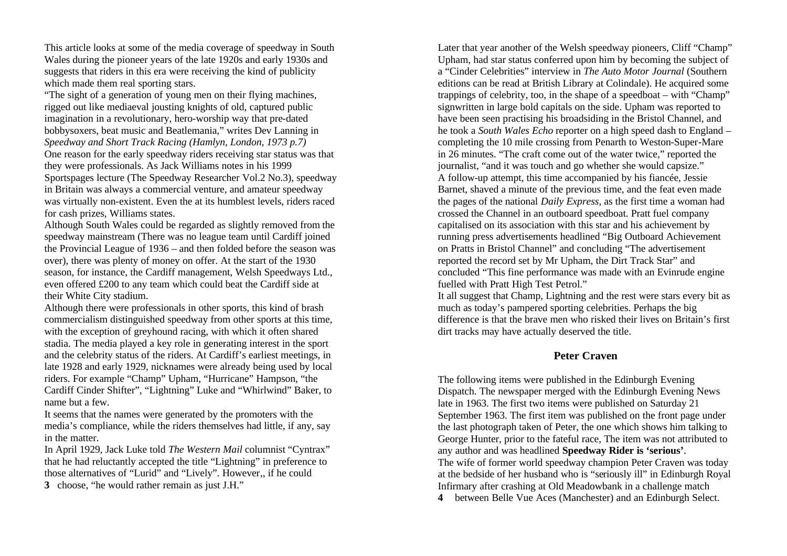This article looks at some of the media coverage of speedway in South Wales during the pioneer years of the late 1920s and early 1930s and suggests that riders in this era were receiving the kind of publicity which made them real sporting stars.

"The sight of a generation of young men on their flying machines, rigged out like mediaeval jousting knights of old, captured public imagination in a revolutionary, hero-worship way that pre-dated bobbysoxers, beat music and Beatlemania," writes Dev Lanning in *Speedway and Short Track Racing (Hamlyn, London, 1973 p.7)* One reason for the early speedway riders receiving star status was that they were professionals. As Jack Williams notes in his 1999 Sportspages lecture (The Speedway Researcher Vol.2 No.3), speedway in Britain was always a commercial venture, and amateur speedway was virtually non-existent. Even the at its humblest levels, riders raced for cash prizes, Williams states.

Although South Wales could be regarded as slightly removed from the speedway mainstream (There was no league team until Cardiff joined the Provincial League of 1936 – and then folded before the season was over), there was plenty of money on offer. At the start of the 1930 season, for instance, the Cardiff management, Welsh Speedways Ltd., even offered £200 to any team which could beat the Cardiff side at their White City stadium.

Although there were professionals in other sports, this kind of brash commercialism distinguished speedway from other sports at this time, with the exception of greyhound racing, with which it often shared stadia. The media played a key role in generating interest in the sport and the celebrity status of the riders. At Cardiff's earliest meetings, in late 1928 and early 1929, nicknames were already being used by local riders. For example "Champ" Upham, "Hurricane" Hampson, "the Cardiff Cinder Shifter", "Lightning" Luke and "Whirlwind" Baker, to name but a few.

It seems that the names were generated by the promoters with the media's compliance, while the riders themselves had little, if any, say in the matter.

In April 1929, Jack Luke told *The Western Mail* columnist "Cyntrax" that he had reluctantly accepted the title "Lightning" in preference to those alternatives of "Lurid" and "Lively". However,, if he could **3** choose, "he would rather remain as just J.H."

Later that year another of the Welsh speedway pioneers, Cliff "Champ" Upham, had star status conferred upon him by becoming the subject of a "Cinder Celebrities" interview in *The Auto Motor Journal* (Southern editions can be read at British Library at Colindale). He acquired some trappings of celebrity, too, in the shape of a speedboat – with "Champ" signwritten in large bold capitals on the side. Upham was reported to have been seen practising his broadsiding in the Bristol Channel, and he took a *South Wales Echo* reporter on a high speed dash to England – completing the 10 mile crossing from Penarth to Weston-Super-Mare in 26 minutes. "The craft come out of the water twice," reported the journalist, "and it was touch and go whether she would capsize." A follow-up attempt, this time accompanied by his fiancée, Jessie Barnet, shaved a minute of the previous time, and the feat even made the pages of the national *Daily Express*, as the first time a woman had crossed the Channel in an outboard speedboat. Pratt fuel company capitalised on its association with this star and his achievement by running press advertisements headlined "Big Outboard Achievement on Pratts in Bristol Channel" and concluding "The advertisement reported the record set by Mr Upham, the Dirt Track Star" and concluded "This fine performance was made with an Evinrude engine fuelled with Pratt High Test Petrol."

It all suggest that Champ, Lightning and the rest were stars every bit as much as today's pampered sporting celebrities. Perhaps the big difference is that the brave men who risked their lives on Britain's first dirt tracks may have actually deserved the title.

# **Peter Craven**

The following items were published in the Edinburgh Evening Dispatch. The newspaper merged with the Edinburgh Evening News late in 1963. The first two items were published on Saturday 21 September 1963. The first item was published on the front page under the last photograph taken of Peter, the one which shows him talking to George Hunter, prior to the fateful race, The item was not attributed to any author and was headlined **Speedway Rider is 'serious'**. The wife of former world speedway champion Peter Craven was today at the bedside of her husband who is "seriously ill" in Edinburgh Royal Infirmary after crashing at Old Meadowbank in a challenge match **4** between Belle Vue Aces (Manchester) and an Edinburgh Select.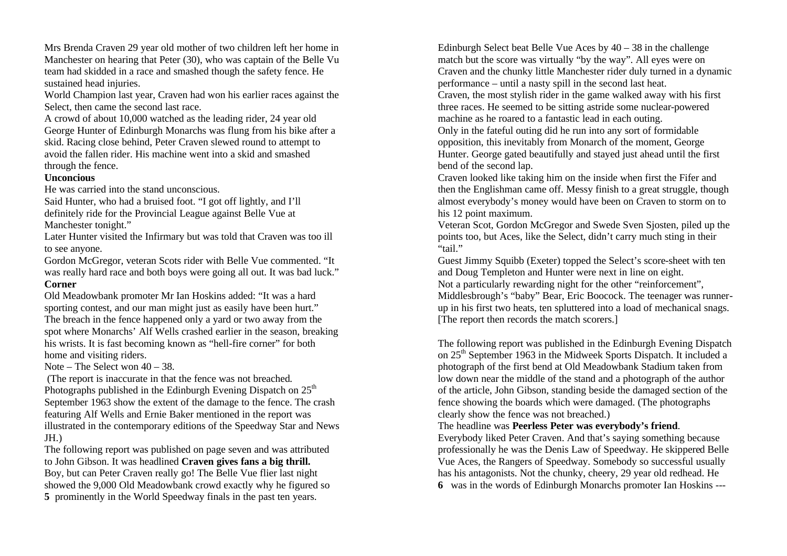Mrs Brenda Craven 29 year old mother of two children left her home in Manchester on hearing that Peter (30), who was captain of the Belle Vu team had skidded in a race and smashed though the safety fence. He sustained head injuries.

World Champion last year, Craven had won his earlier races against the Select, then came the second last race.

A crowd of about 10,000 watched as the leading rider, 24 year old George Hunter of Edinburgh Monarchs was flung from his bike after a skid. Racing close behind, Peter Craven slewed round to attempt to avoid the fallen rider. His machine went into a skid and smashed through the fence.

#### **Unconcious**

He was carried into the stand unconscious.

Said Hunter, who had a bruised foot. "I got off lightly, and I'll definitely ride for the Provincial League against Belle Vue at Manchester tonight."

Later Hunter visited the Infirmary but was told that Craven was too ill to see anyone.

Gordon McGregor, veteran Scots rider with Belle Vue commented. "It was really hard race and both boys were going all out. It was bad luck." **Corner**

Old Meadowbank promoter Mr Ian Hoskins added: "It was a hard sporting contest, and our man might just as easily have been hurt." The breach in the fence happened only a yard or two away from the spot where Monarchs' Alf Wells crashed earlier in the season, breaking his wrists. It is fast becoming known as "hell-fire corner" for both home and visiting riders.

Note – The Select won 40 – 38.

(The report is inaccurate in that the fence was not breached. Photographs published in the Edinburgh Evening Dispatch on  $25<sup>th</sup>$ September 1963 show the extent of the damage to the fence. The crash featuring Alf Wells and Ernie Baker mentioned in the report was illustrated in the contemporary editions of the Speedway Star and News JH.)

The following report was published on page seven and was attributed to John Gibson. It was headlined **Craven gives fans a big thrill.** Boy, but can Peter Craven really go! The Belle Vue flier last night showed the 9,000 Old Meadowbank crowd exactly why he figured so **5** prominently in the World Speedway finals in the past ten years.

Edinburgh Select beat Belle Vue Aces by 40 – 38 in the challenge match but the score was virtually "by the way". All eyes were on Craven and the chunky little Manchester rider duly turned in a dynamic performance – until a nasty spill in the second last heat.

Craven, the most stylish rider in the game walked away with his first three races. He seemed to be sitting astride some nuclear-powered machine as he roared to a fantastic lead in each outing.

Only in the fateful outing did he run into any sort of formidable opposition, this inevitably from Monarch of the moment, George Hunter. George gated beautifully and stayed just ahead until the first bend of the second lap.

Craven looked like taking him on the inside when first the Fifer and then the Englishman came off. Messy finish to a great struggle, though almost everybody's money would have been on Craven to storm on to his 12 point maximum.

Veteran Scot, Gordon McGregor and Swede Sven Sjosten, piled up the points too, but Aces, like the Select, didn't carry much sting in their "tail"

Guest Jimmy Squibb (Exeter) topped the Select's score-sheet with ten and Doug Templeton and Hunter were next in line on eight. Not a particularly rewarding night for the other "reinforcement", Middlesbrough's "baby" Bear, Eric Boocock. The teenager was runnerup in his first two heats, ten spluttered into a load of mechanical snags. [The report then records the match scorers.]

The following report was published in the Edinburgh Evening Dispatch on 25<sup>th</sup> September 1963 in the Midweek Sports Dispatch. It included a photograph of the first bend at Old Meadowbank Stadium taken from low down near the middle of the stand and a photograph of the author of the article, John Gibson, standing beside the damaged section of the fence showing the boards which were damaged. (The photographs clearly show the fence was not breached.)

#### The headline was **Peerless Peter was everybody's friend**.

Everybody liked Peter Craven. And that's saying something because professionally he was the Denis Law of Speedway. He skippered Belle Vue Aces, the Rangers of Speedway. Somebody so successful usually has his antagonists. Not the chunky, cheery, 29 year old redhead. He **6** was in the words of Edinburgh Monarchs promoter Ian Hoskins ---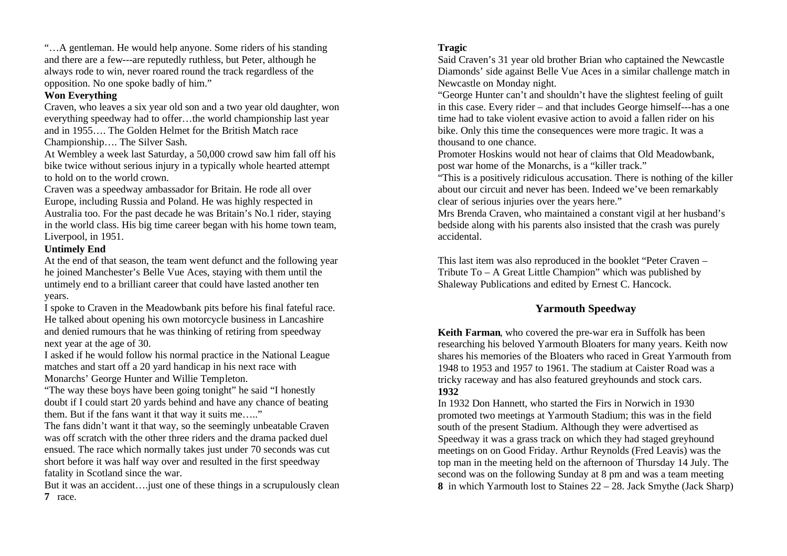"…A gentleman. He would help anyone. Some riders of his standing and there are a few---are reputedly ruthless, but Peter, although he always rode to win, never roared round the track regardless of the opposition. No one spoke badly of him."

# **Won Everything**

Craven, who leaves a six year old son and a two year old daughter, won everything speedway had to offer…the world championship last year and in 1955…. The Golden Helmet for the British Match race Championship…. The Silver Sash.

At Wembley a week last Saturday, a 50,000 crowd saw him fall off his bike twice without serious injury in a typically whole hearted attempt to hold on to the world crown.

Craven was a speedway ambassador for Britain. He rode all over Europe, including Russia and Poland. He was highly respected in Australia too. For the past decade he was Britain's No.1 rider, staying in the world class. His big time career began with his home town team, Liverpool, in 1951.

# **Untimely End**

At the end of that season, the team went defunct and the following year he joined Manchester's Belle Vue Aces, staying with them until the untimely end to a brilliant career that could have lasted another ten years.

I spoke to Craven in the Meadowbank pits before his final fateful race. He talked about opening his own motorcycle business in Lancashire and denied rumours that he was thinking of retiring from speedway next year at the age of 30.

I asked if he would follow his normal practice in the National League matches and start off a 20 yard handicap in his next race with Monarchs' George Hunter and Willie Templeton.

"The way these boys have been going tonight" he said "I honestly doubt if I could start 20 yards behind and have any chance of beating them. But if the fans want it that way it suits me….."

The fans didn't want it that way, so the seemingly unbeatable Craven was off scratch with the other three riders and the drama packed duel ensued. The race which normally takes just under 70 seconds was cut short before it was half way over and resulted in the first speedway fatality in Scotland since the war.

But it was an accident….just one of these things in a scrupulously clean **7** race.

# **Tragic**

Said Craven's 31 year old brother Brian who captained the Newcastle Diamonds' side against Belle Vue Aces in a similar challenge match in Newcastle on Monday night.

"George Hunter can't and shouldn't have the slightest feeling of guilt in this case. Every rider – and that includes George himself---has a one time had to take violent evasive action to avoid a fallen rider on his bike. Only this time the consequences were more tragic. It was a thousand to one chance.

Promoter Hoskins would not hear of claims that Old Meadowbank, post war home of the Monarchs, is a "killer track."

"This is a positively ridiculous accusation. There is nothing of the killer about our circuit and never has been. Indeed we've been remarkably clear of serious injuries over the years here."

Mrs Brenda Craven, who maintained a constant vigil at her husband's bedside along with his parents also insisted that the crash was purely accidental.

This last item was also reproduced in the booklet "Peter Craven – Tribute To – A Great Little Champion" which was published by Shaleway Publications and edited by Ernest C. Hancock.

# **Yarmouth Speedway**

**Keith Farman**, who covered the pre-war era in Suffolk has been researching his beloved Yarmouth Bloaters for many years. Keith now shares his memories of the Bloaters who raced in Great Yarmouth from 1948 to 1953 and 1957 to 1961. The stadium at Caister Road was a tricky raceway and has also featured greyhounds and stock cars. **1932**

In 1932 Don Hannett, who started the Firs in Norwich in 1930 promoted two meetings at Yarmouth Stadium; this was in the field south of the present Stadium. Although they were advertised as Speedway it was a grass track on which they had staged greyhound meetings on on Good Friday. Arthur Reynolds (Fred Leavis) was the top man in the meeting held on the afternoon of Thursday 14 July. The second was on the following Sunday at 8 pm and was a team meeting **8** in which Yarmouth lost to Staines 22 – 28. Jack Smythe (Jack Sharp)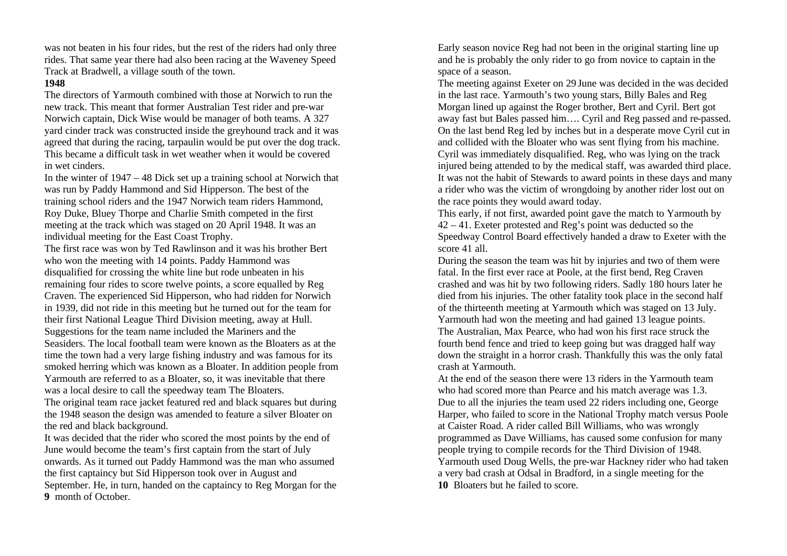was not beaten in his four rides, but the rest of the riders had only three rides. That same year there had also been racing at the Waveney Speed Track at Bradwell, a village south of the town.

#### **1948**

The directors of Yarmouth combined with those at Norwich to run the new track. This meant that former Australian Test rider and pre-war Norwich captain, Dick Wise would be manager of both teams. A 327 yard cinder track was constructed inside the greyhound track and it was agreed that during the racing, tarpaulin would be put over the dog track. This became a difficult task in wet weather when it would be covered in wet cinders.

In the winter of 1947 – 48 Dick set up a training school at Norwich that was run by Paddy Hammond and Sid Hipperson. The best of the training school riders and the 1947 Norwich team riders Hammond, Roy Duke, Bluey Thorpe and Charlie Smith competed in the first meeting at the track which was staged on 20 April 1948. It was an individual meeting for the East Coast Trophy.

The first race was won by Ted Rawlinson and it was his brother Bert who won the meeting with 14 points. Paddy Hammond was disqualified for crossing the white line but rode unbeaten in his remaining four rides to score twelve points, a score equalled by Reg Craven. The experienced Sid Hipperson, who had ridden for Norwich in 1939, did not ride in this meeting but he turned out for the team for their first National League Third Division meeting, away at Hull. Suggestions for the team name included the Mariners and the Seasiders. The local football team were known as the Bloaters as at the time the town had a very large fishing industry and was famous for its smoked herring which was known as a Bloater. In addition people from Yarmouth are referred to as a Bloater, so, it was inevitable that there was a local desire to call the speedway team The Bloaters.

The original team race jacket featured red and black squares but during the 1948 season the design was amended to feature a silver Bloater on the red and black background.

It was decided that the rider who scored the most points by the end of June would become the team's first captain from the start of July onwards. As it turned out Paddy Hammond was the man who assumed the first captaincy but Sid Hipperson took over in August and September. He, in turn, handed on the captaincy to Reg Morgan for the **9** month of October.

Early season novice Reg had not been in the original starting line up and he is probably the only rider to go from novice to captain in the space of a season.

The meeting against Exeter on 29 June was decided in the was decided in the last race. Yarmouth's two young stars, Billy Bales and Reg Morgan lined up against the Roger brother, Bert and Cyril. Bert got away fast but Bales passed him…. Cyril and Reg passed and re-passed. On the last bend Reg led by inches but in a desperate move Cyril cut in and collided with the Bloater who was sent flying from his machine. Cyril was immediately disqualified. Reg, who was lying on the track injured being attended to by the medical staff, was awarded third place. It was not the habit of Stewards to award points in these days and many a rider who was the victim of wrongdoing by another rider lost out on the race points they would award today.

This early, if not first, awarded point gave the match to Yarmouth by 42 – 41. Exeter protested and Reg's point was deducted so the Speedway Control Board effectively handed a draw to Exeter with the score 41 all.

During the season the team was hit by injuries and two of them were fatal. In the first ever race at Poole, at the first bend, Reg Craven crashed and was hit by two following riders. Sadly 180 hours later he died from his injuries. The other fatality took place in the second half of the thirteenth meeting at Yarmouth which was staged on 13 July. Yarmouth had won the meeting and had gained 13 league points. The Australian, Max Pearce, who had won his first race struck the fourth bend fence and tried to keep going but was dragged half way down the straight in a horror crash. Thankfully this was the only fatal crash at Yarmouth.

At the end of the season there were 13 riders in the Yarmouth team who had scored more than Pearce and his match average was 1.3. Due to all the injuries the team used 22 riders including one, George Harper, who failed to score in the National Trophy match versus Poole at Caister Road. A rider called Bill Williams, who was wrongly programmed as Dave Williams, has caused some confusion for many people trying to compile records for the Third Division of 1948. Yarmouth used Doug Wells, the pre-war Hackney rider who had taken a very bad crash at Odsal in Bradford, in a single meeting for the **10** Bloaters but he failed to score.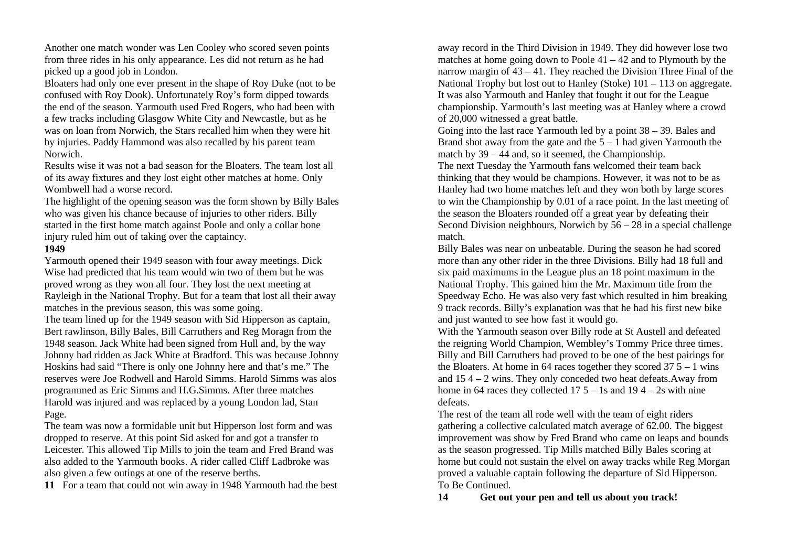Another one match wonder was Len Cooley who scored seven points from three rides in his only appearance. Les did not return as he had picked up a good job in London.

Bloaters had only one ever present in the shape of Roy Duke (not to be confused with Roy Dook). Unfortunately Roy's form dipped towards the end of the season. Yarmouth used Fred Rogers, who had been with a few tracks including Glasgow White City and Newcastle, but as he was on loan from Norwich, the Stars recalled him when they were hit by injuries. Paddy Hammond was also recalled by his parent team Norwich.

Results wise it was not a bad season for the Bloaters. The team lost all of its away fixtures and they lost eight other matches at home. Only Wombwell had a worse record.

The highlight of the opening season was the form shown by Billy Bales who was given his chance because of injuries to other riders. Billy started in the first home match against Poole and only a collar bone injury ruled him out of taking over the captaincy.

#### **1949**

Yarmouth opened their 1949 season with four away meetings. Dick Wise had predicted that his team would win two of them but he was proved wrong as they won all four. They lost the next meeting at Rayleigh in the National Trophy. But for a team that lost all their away matches in the previous season, this was some going.

The team lined up for the 1949 season with Sid Hipperson as captain, Bert rawlinson, Billy Bales, Bill Carruthers and Reg Moragn from the 1948 season. Jack White had been signed from Hull and, by the way Johnny had ridden as Jack White at Bradford. This was because Johnny Hoskins had said "There is only one Johnny here and that's me." The reserves were Joe Rodwell and Harold Simms. Harold Simms was alos programmed as Eric Simms and H.G.Simms. After three matches Harold was injured and was replaced by a young London lad, Stan Page.

The team was now a formidable unit but Hipperson lost form and was dropped to reserve. At this point Sid asked for and got a transfer to Leicester. This allowed Tip Mills to join the team and Fred Brand was also added to the Yarmouth books. A rider called Cliff Ladbroke was also given a few outings at one of the reserve berths.

**11** For a team that could not win away in 1948 Yarmouth had the best

away record in the Third Division in 1949. They did however lose two matches at home going down to Poole  $41 - 42$  and to Plymouth by the narrow margin of 43 – 41. They reached the Division Three Final of the National Trophy but lost out to Hanley (Stoke) 101 – 113 on aggregate. It was also Yarmouth and Hanley that fought it out for the League championship. Yarmouth's last meeting was at Hanley where a crowd of 20,000 witnessed a great battle.

Going into the last race Yarmouth led by a point 38 – 39. Bales and Brand shot away from the gate and the  $5 - 1$  had given Yarmouth the match by 39 – 44 and, so it seemed, the Championship.

The next Tuesday the Yarmouth fans welcomed their team back thinking that they would be champions. However, it was not to be as Hanley had two home matches left and they won both by large scores to win the Championship by 0.01 of a race point. In the last meeting of the season the Bloaters rounded off a great year by defeating their Second Division neighbours, Norwich by  $56 - 28$  in a special challenge match.

Billy Bales was near on unbeatable. During the season he had scored more than any other rider in the three Divisions. Billy had 18 full and six paid maximums in the League plus an 18 point maximum in the National Trophy. This gained him the Mr. Maximum title from the Speedway Echo. He was also very fast which resulted in him breaking 9 track records. Billy's explanation was that he had his first new bike and just wanted to see how fast it would go.

With the Yarmouth season over Billy rode at St Austell and defeated the reigning World Champion, Wembley's Tommy Price three times. Billy and Bill Carruthers had proved to be one of the best pairings for the Bloaters. At home in 64 races together they scored  $37.5 - 1$  wins and 15 4 – 2 wins. They only conceded two heat defeats.Away from home in 64 races they collected  $17\,5 - 1s$  and  $19\,4 - 2s$  with nine defeats.

The rest of the team all rode well with the team of eight riders gathering a collective calculated match average of 62.00. The biggest improvement was show by Fred Brand who came on leaps and bounds as the season progressed. Tip Mills matched Billy Bales scoring at home but could not sustain the elvel on away tracks while Reg Morgan proved a valuable captain following the departure of Sid Hipperson. To Be Continued.

**14 Get out your pen and tell us about you track!**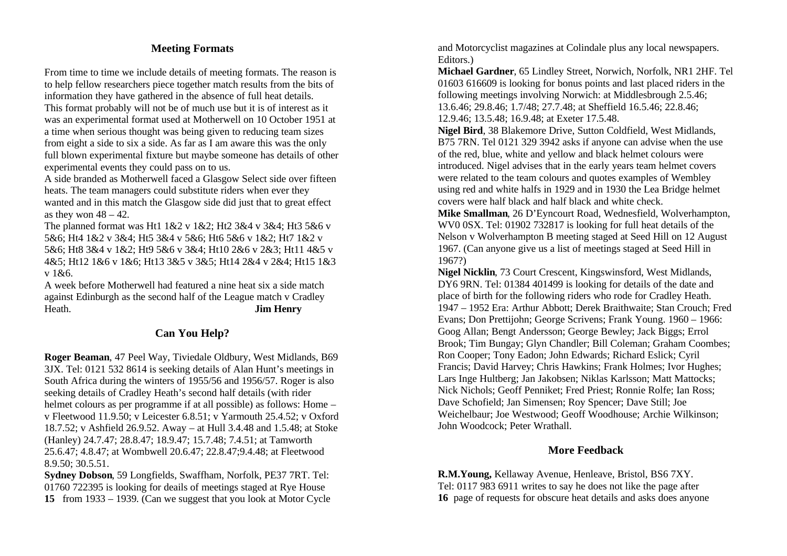# **Meeting Formats**

From time to time we include details of meeting formats. The reason is to help fellow researchers piece together match results from the bits of information they have gathered in the absence of full heat details. This format probably will not be of much use but it is of interest as it was an experimental format used at Motherwell on 10 October 1951 at

a time when serious thought was being given to reducing team sizes from eight a side to six a side. As far as I am aware this was the only full blown experimental fixture but maybe someone has details of other experimental events they could pass on to us.

A side branded as Motherwell faced a Glasgow Select side over fifteen heats. The team managers could substitute riders when ever they wanted and in this match the Glasgow side did just that to great effect as they won  $48 - 42$ .

The planned format was Ht1 1&2 v 1&2; Ht2 3&4 v 3&4; Ht3 5&6 v 5&6; Ht4 1&2 v 3&4; Ht5 3&4 v 5&6; Ht6 5&6 v 1&2; Ht7 1&2 v 5&6; Ht8 3&4 v 1&2; Ht9 5&6 v 3&4; Ht10 2&6 v 2&3; Ht11 4&5 v 4&5; Ht12 1&6 v 1&6; Ht13 3&5 v 3&5; Ht14 2&4 v 2&4; Ht15 1&3 v 1&6.

A week before Motherwell had featured a nine heat six a side match against Edinburgh as the second half of the League match v Cradley Heath. **Jim Henry**

# **Can You Help?**

**Roger Beaman**, 47 Peel Way, Tiviedale Oldbury, West Midlands, B69 3JX. Tel: 0121 532 8614 is seeking details of Alan Hunt's meetings in South Africa during the winters of 1955/56 and 1956/57. Roger is also seeking details of Cradley Heath's second half details (with rider helmet colours as per programme if at all possible) as follows: Home – v Fleetwood 11.9.50; v Leicester 6.8.51; v Yarmouth 25.4.52; v Oxford 18.7.52; v Ashfield 26.9.52. Away – at Hull 3.4.48 and 1.5.48; at Stoke (Hanley) 24.7.47; 28.8.47; 18.9.47; 15.7.48; 7.4.51; at Tamworth 25.6.47; 4.8.47; at Wombwell 20.6.47; 22.8.47;9.4.48; at Fleetwood 8.9.50; 30.5.51.

**Sydney Dobson**, 59 Longfields, Swaffham, Norfolk, PE37 7RT. Tel: 01760 722395 is looking for deails of meetings staged at Rye House **15** from 1933 – 1939. (Can we suggest that you look at Motor Cycle and Motorcyclist magazines at Colindale plus any local newspapers. Editors.)

**Michael Gardner**, 65 Lindley Street, Norwich, Norfolk, NR1 2HF. Tel 01603 616609 is looking for bonus points and last placed riders in the following meetings involving Norwich: at Middlesbrough 2.5.46; 13.6.46; 29.8.46; 1.7/48; 27.7.48; at Sheffield 16.5.46; 22.8.46; 12.9.46; 13.5.48; 16.9.48; at Exeter 17.5.48.

**Nigel Bird**, 38 Blakemore Drive, Sutton Coldfield, West Midlands, B75 7RN. Tel 0121 329 3942 asks if anyone can advise when the use of the red, blue, white and yellow and black helmet colours were introduced. Nigel advises that in the early years team helmet covers were related to the team colours and quotes examples of Wembley using red and white halfs in 1929 and in 1930 the Lea Bridge helmet covers were half black and half black and white check.

**Mike Smallman**, 26 D'Eyncourt Road, Wednesfield, Wolverhampton, WV0 0SX. Tel: 01902 732817 is looking for full heat details of the Nelson v Wolverhampton B meeting staged at Seed Hill on 12 August 1967. (Can anyone give us a list of meetings staged at Seed Hill in 1967?)

**Nigel Nicklin**, 73 Court Crescent, Kingswinsford, West Midlands, DY6 9RN. Tel: 01384 401499 is looking for details of the date and place of birth for the following riders who rode for Cradley Heath. 1947 – 1952 Era: Arthur Abbott; Derek Braithwaite; Stan Crouch; Fred Evans; Don Prettijohn; George Scrivens; Frank Young. 1960 – 1966: Goog Allan; Bengt Andersson; George Bewley; Jack Biggs; Errol Brook; Tim Bungay; Glyn Chandler; Bill Coleman; Graham Coombes; Ron Cooper; Tony Eadon; John Edwards; Richard Eslick; Cyril Francis; David Harvey; Chris Hawkins; Frank Holmes; Ivor Hughes; Lars Inge Hultberg; Jan Jakobsen; Niklas Karlsson; Matt Mattocks; Nick Nichols; Geoff Penniket; Fred Priest; Ronnie Rolfe; Ian Ross; Dave Schofield; Jan Simensen; Roy Spencer; Dave Still; Joe Weichelbaur; Joe Westwood; Geoff Woodhouse; Archie Wilkinson; John Woodcock; Peter Wrathall.

# **More Feedback**

**R.M.Young,** Kellaway Avenue, Henleave, Bristol, BS6 7XY. Tel: 0117 983 6911 writes to say he does not like the page after **16** page of requests for obscure heat details and asks does anyone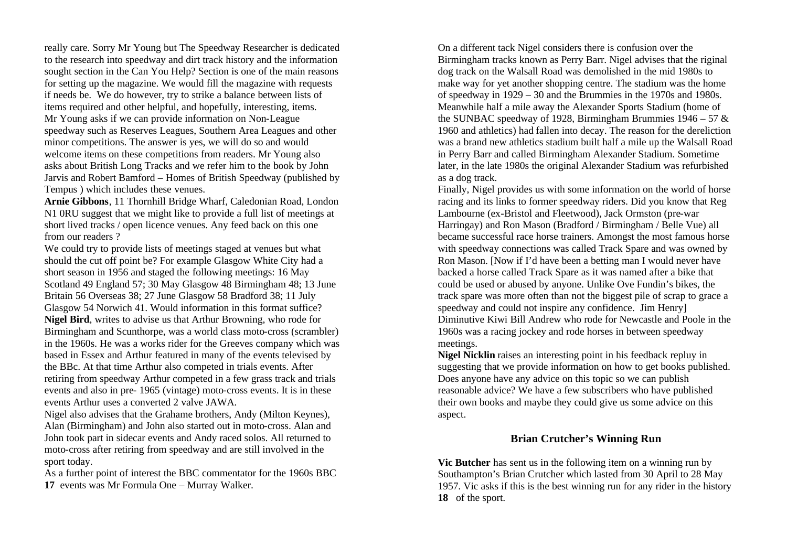really care. Sorry Mr Young but The Speedway Researcher is dedicated to the research into speedway and dirt track history and the information sought section in the Can You Help? Section is one of the main reasons for setting up the magazine. We would fill the magazine with requests if needs be. We do however, try to strike a balance between lists of items required and other helpful, and hopefully, interesting, items. Mr Young asks if we can provide information on Non-League speedway such as Reserves Leagues, Southern Area Leagues and other minor competitions. The answer is yes, we will do so and would welcome items on these competitions from readers. Mr Young also asks about British Long Tracks and we refer him to the book by John Jarvis and Robert Bamford – Homes of British Speedway (published by Tempus ) which includes these venues.

**Arnie Gibbons**, 11 Thornhill Bridge Wharf, Caledonian Road, London N1 0RU suggest that we might like to provide a full list of meetings at short lived tracks / open licence venues. Any feed back on this one from our readers ?

We could try to provide lists of meetings staged at venues but what should the cut off point be? For example Glasgow White City had a short season in 1956 and staged the following meetings: 16 May Scotland 49 England 57; 30 May Glasgow 48 Birmingham 48; 13 June Britain 56 Overseas 38; 27 June Glasgow 58 Bradford 38; 11 July Glasgow 54 Norwich 41. Would information in this format suffice? **Nigel Bird**, writes to advise us that Arthur Browning, who rode for Birmingham and Scunthorpe, was a world class moto-cross (scrambler) in the 1960s. He was a works rider for the Greeves company which was based in Essex and Arthur featured in many of the events televised by the BBc. At that time Arthur also competed in trials events. After retiring from speedway Arthur competed in a few grass track and trials events and also in pre- 1965 (vintage) moto-cross events. It is in these events Arthur uses a converted 2 valve JAWA.

Nigel also advises that the Grahame brothers, Andy (Milton Keynes), Alan (Birmingham) and John also started out in moto-cross. Alan and John took part in sidecar events and Andy raced solos. All returned to moto-cross after retiring from speedway and are still involved in the sport today.

As a further point of interest the BBC commentator for the 1960s BBC **17** events was Mr Formula One – Murray Walker.

On a different tack Nigel considers there is confusion over the Birmingham tracks known as Perry Barr. Nigel advises that the riginal dog track on the Walsall Road was demolished in the mid 1980s to make way for yet another shopping centre. The stadium was the home of speedway in 1929 – 30 and the Brummies in the 1970s and 1980s. Meanwhile half a mile away the Alexander Sports Stadium (home of the SUNBAC speedway of 1928, Birmingham Brummies  $1946 - 57$  & 1960 and athletics) had fallen into decay. The reason for the dereliction was a brand new athletics stadium built half a mile up the Walsall Road in Perry Barr and called Birmingham Alexander Stadium. Sometime later, in the late 1980s the original Alexander Stadium was refurbished as a dog track.

Finally, Nigel provides us with some information on the world of horse racing and its links to former speedway riders. Did you know that Reg Lambourne (ex-Bristol and Fleetwood), Jack Ormston (pre-war Harringay) and Ron Mason (Bradford / Birmingham / Belle Vue) all became successful race horse trainers. Amongst the most famous horse with speedway connections was called Track Spare and was owned by Ron Mason. [Now if I'd have been a betting man I would never have backed a horse called Track Spare as it was named after a bike that could be used or abused by anyone. Unlike Ove Fundin's bikes, the track spare was more often than not the biggest pile of scrap to grace a speedway and could not inspire any confidence. Jim Henry] Diminutive Kiwi Bill Andrew who rode for Newcastle and Poole in the 1960s was a racing jockey and rode horses in between speedway meetings.

**Nigel Nicklin** raises an interesting point in his feedback repluy in suggesting that we provide information on how to get books published. Does anyone have any advice on this topic so we can publish reasonable advice? We have a few subscribers who have published their own books and maybe they could give us some advice on this aspect.

# **Brian Crutcher's Winning Run**

**Vic Butcher** has sent us in the following item on a winning run by Southampton's Brian Crutcher which lasted from 30 April to 28 May 1957. Vic asks if this is the best winning run for any rider in the history **18** of the sport.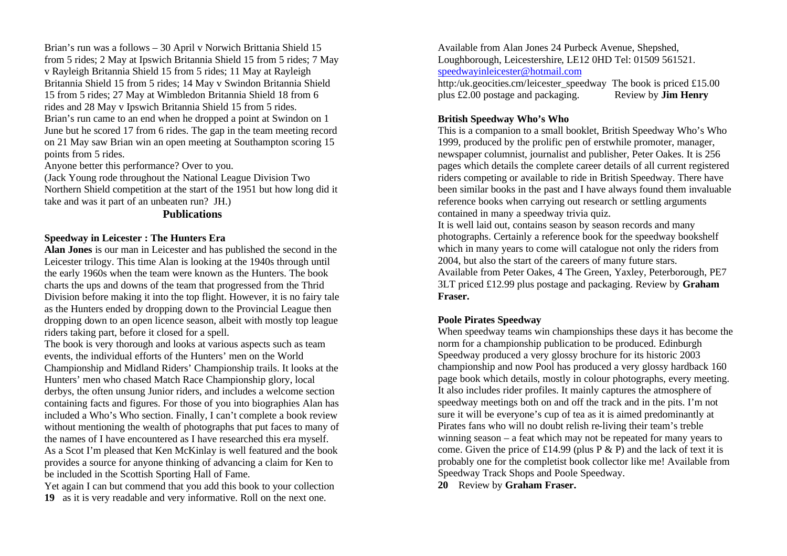Brian's run was a follows – 30 April v Norwich Brittania Shield 15 from 5 rides; 2 May at Ipswich Britannia Shield 15 from 5 rides; 7 May v Rayleigh Britannia Shield 15 from 5 rides; 11 May at Rayleigh Britannia Shield 15 from 5 rides; 14 May v Swindon Britannia Shield 15 from 5 rides; 27 May at Wimbledon Britannia Shield 18 from 6 rides and 28 May v Ipswich Britannia Shield 15 from 5 rides. Brian's run came to an end when he dropped a point at Swindon on 1 June but he scored 17 from 6 rides. The gap in the team meeting record on 21 May saw Brian win an open meeting at Southampton scoring 15 points from 5 rides.

Anyone better this performance? Over to you.

(Jack Young rode throughout the National League Division Two Northern Shield competition at the start of the 1951 but how long did it take and was it part of an unbeaten run? JH.)

#### **Publications**

#### **Speedway in Leicester : The Hunters Era**

**Alan Jones** is our man in Leicester and has published the second in the Leicester trilogy. This time Alan is looking at the 1940s through until the early 1960s when the team were known as the Hunters. The book charts the ups and downs of the team that progressed from the Thrid Division before making it into the top flight. However, it is no fairy tale as the Hunters ended by dropping down to the Provincial League then dropping down to an open licence season, albeit with mostly top league riders taking part, before it closed for a spell.

The book is very thorough and looks at various aspects such as team events, the individual efforts of the Hunters' men on the World Championship and Midland Riders' Championship trails. It looks at the Hunters' men who chased Match Race Championship glory, local derbys, the often unsung Junior riders, and includes a welcome section containing facts and figures. For those of you into biographies Alan has included a Who's Who section. Finally, I can't complete a book review without mentioning the wealth of photographs that put faces to many of the names of I have encountered as I have researched this era myself. As a Scot I'm pleased that Ken McKinlay is well featured and the book provides a source for anyone thinking of advancing a claim for Ken to be included in the Scottish Sporting Hall of Fame.

Yet again I can but commend that you add this book to your collection **19** as it is very readable and very informative. Roll on the next one.

Available from Alan Jones 24 Purbeck Avenue, Shepshed, Loughborough, Leicestershire, LE12 0HD Tel: 01509 561521. speedwayinleicester@hotmail.com

http:/uk.geocities.cm/leicester\_speedway The book is priced £15.00 plus £2.00 postage and packaging. Review by **Jim Henry**

### **British Speedway Who's Who**

This is a companion to a small booklet, British Speedway Who's Who 1999, produced by the prolific pen of erstwhile promoter, manager, newspaper columnist, journalist and publisher, Peter Oakes. It is 256 pages which details the complete career details of all current registered riders competing or available to ride in British Speedway. There have been similar books in the past and I have always found them invaluable reference books when carrying out research or settling arguments contained in many a speedway trivia quiz.

It is well laid out, contains season by season records and many photographs. Certainly a reference book for the speedway bookshelf which in many years to come will catalogue not only the riders from 2004, but also the start of the careers of many future stars. Available from Peter Oakes, 4 The Green, Yaxley, Peterborough, PE7 3LT priced £12.99 plus postage and packaging. Review by **Graham Fraser.** 

# **Poole Pirates Speedway**

When speedway teams win championships these days it has become the norm for a championship publication to be produced. Edinburgh Speedway produced a very glossy brochure for its historic 2003 championship and now Pool has produced a very glossy hardback 160 page book which details, mostly in colour photographs, every meeting. It also includes rider profiles. It mainly captures the atmosphere of speedway meetings both on and off the track and in the pits. I'm not sure it will be everyone's cup of tea as it is aimed predominantly at Pirates fans who will no doubt relish re-living their team's treble winning season – a feat which may not be repeated for many years to come. Given the price of £14.99 (plus P  $\&$  P) and the lack of text it is probably one for the completist book collector like me! Available from Speedway Track Shops and Poole Speedway.

**20** Review by **Graham Fraser.**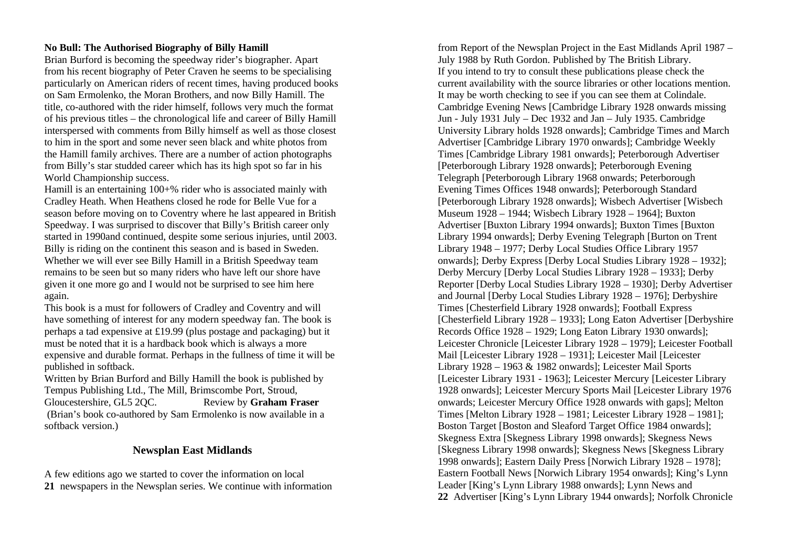### **No Bull: The Authorised Biography of Billy Hamill**

Brian Burford is becoming the speedway rider's biographer. Apart from his recent biography of Peter Craven he seems to be specialising particularly on American riders of recent times, having produced books on Sam Ermolenko, the Moran Brothers, and now Billy Hamill. The title, co-authored with the rider himself, follows very much the format of his previous titles – the chronological life and career of Billy Hamill interspersed with comments from Billy himself as well as those closest to him in the sport and some never seen black and white photos from the Hamill family archives. There are a number of action photographs from Billy's star studded career which has its high spot so far in his World Championship success.

Hamill is an entertaining 100+% rider who is associated mainly with Cradley Heath. When Heathens closed he rode for Belle Vue for a season before moving on to Coventry where he last appeared in British Speedway. I was surprised to discover that Billy's British career only started in 1990and continued, despite some serious injuries, until 2003. Billy is riding on the continent this season and is based in Sweden. Whether we will ever see Billy Hamill in a British Speedway team remains to be seen but so many riders who have left our shore have given it one more go and I would not be surprised to see him here again.

This book is a must for followers of Cradley and Coventry and will have something of interest for any modern speedway fan. The book is perhaps a tad expensive at £19.99 (plus postage and packaging) but it must be noted that it is a hardback book which is always a more expensive and durable format. Perhaps in the fullness of time it will be published in softback.

Written by Brian Burford and Billy Hamill the book is published by Tempus Publishing Ltd., The Mill, Brimscombe Port, Stroud, Gloucestershire, GL5 2QC. Review by **Graham Fraser** (Brian's book co-authored by Sam Ermolenko is now available in a softback version.)

#### **Newsplan East Midlands**

A few editions ago we started to cover the information on local **21** newspapers in the Newsplan series. We continue with information

from Report of the Newsplan Project in the East Midlands April 1987 – July 1988 by Ruth Gordon. Published by The British Library. If you intend to try to consult these publications please check the current availability with the source libraries or other locations mention. It may be worth checking to see if you can see them at Colindale. Cambridge Evening News [Cambridge Library 1928 onwards missing Jun - July 1931 July – Dec 1932 and Jan – July 1935. Cambridge University Library holds 1928 onwards]; Cambridge Times and March Advertiser [Cambridge Library 1970 onwards]; Cambridge Weekly Times [Cambridge Library 1981 onwards]; Peterborough Advertiser [Peterborough Library 1928 onwards]; Peterborough Evening Telegraph [Peterborough Library 1968 onwards; Peterborough Evening Times Offices 1948 onwards]; Peterborough Standard [Peterborough Library 1928 onwards]; Wisbech Advertiser [Wisbech Museum 1928 – 1944; Wisbech Library 1928 – 1964]; Buxton Advertiser [Buxton Library 1994 onwards]; Buxton Times [Buxton Library 1994 onwards]; Derby Evening Telegraph [Burton on Trent Library 1948 – 1977; Derby Local Studies Office Library 1957 onwards]; Derby Express [Derby Local Studies Library 1928 – 1932]; Derby Mercury [Derby Local Studies Library 1928 – 1933]; Derby Reporter [Derby Local Studies Library 1928 – 1930]; Derby Advertiser and Journal [Derby Local Studies Library 1928 – 1976]; Derbyshire Times [Chesterfield Library 1928 onwards]; Football Express [Chesterfield Library 1928 – 1933]; Long Eaton Advertiser [Derbyshire Records Office 1928 – 1929; Long Eaton Library 1930 onwards]; Leicester Chronicle [Leicester Library 1928 – 1979]; Leicester Football Mail [Leicester Library 1928 – 1931]; Leicester Mail [Leicester Library 1928 – 1963 & 1982 onwards]; Leicester Mail Sports [Leicester Library 1931 - 1963]; Leicester Mercury [Leicester Library 1928 onwards]; Leicester Mercury Sports Mail [Leicester Library 1976 onwards; Leicester Mercury Office 1928 onwards with gaps]; Melton Times [Melton Library 1928 – 1981; Leicester Library 1928 – 1981]; Boston Target [Boston and Sleaford Target Office 1984 onwards]; Skegness Extra [Skegness Library 1998 onwards]; Skegness News [Skegness Library 1998 onwards]; Skegness News [Skegness Library 1998 onwards]; Eastern Daily Press [Norwich Library 1928 – 1978]; Eastern Football News [Norwich Library 1954 onwards]; King's Lynn Leader [King's Lynn Library 1988 onwards]; Lynn News and **22** Advertiser [King's Lynn Library 1944 onwards]; Norfolk Chronicle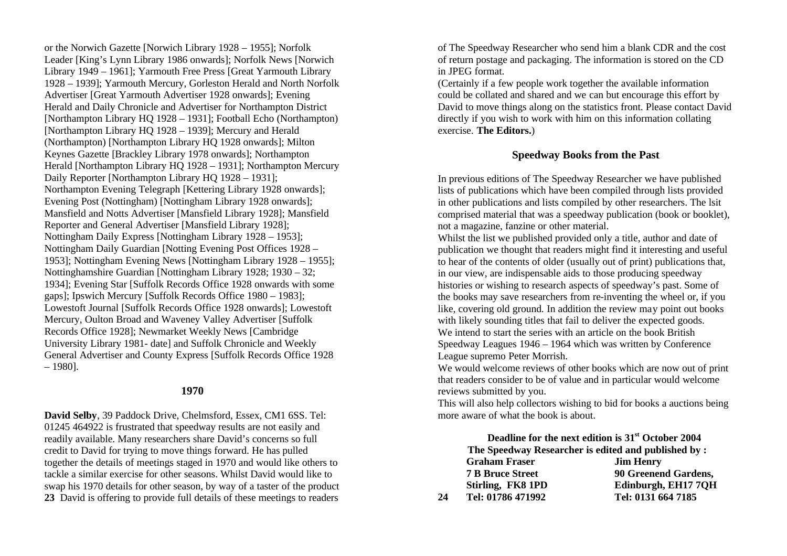or the Norwich Gazette [Norwich Library 1928 – 1955]; Norfolk Leader [King's Lynn Library 1986 onwards]; Norfolk News [Norwich Library 1949 – 1961]; Yarmouth Free Press [Great Yarmouth Library 1928 – 1939]; Yarmouth Mercury, Gorleston Herald and North Norfolk Advertiser [Great Yarmouth Advertiser 1928 onwards]; Evening Herald and Daily Chronicle and Advertiser for Northampton District [Northampton Library HQ 1928 – 1931]; Football Echo (Northampton) [Northampton Library HQ 1928 – 1939]; Mercury and Herald (Northampton) [Northampton Library HQ 1928 onwards]; Milton Keynes Gazette [Brackley Library 1978 onwards]; Northampton Herald [Northampton Library HQ 1928 – 1931]; Northampton Mercury Daily Reporter [Northampton Library HQ 1928 – 1931]; Northampton Evening Telegraph [Kettering Library 1928 onwards]; Evening Post (Nottingham) [Nottingham Library 1928 onwards]; Mansfield and Notts Advertiser [Mansfield Library 1928]; Mansfield Reporter and General Advertiser [Mansfield Library 1928]; Nottingham Daily Express [Nottingham Library 1928 – 1953]; Nottingham Daily Guardian [Notting Evening Post Offices 1928 – 1953]; Nottingham Evening News [Nottingham Library 1928 – 1955]; Nottinghamshire Guardian [Nottingham Library 1928; 1930 – 32; 1934]; Evening Star [Suffolk Records Office 1928 onwards with some gaps]; Ipswich Mercury [Suffolk Records Office 1980 – 1983]; Lowestoft Journal [Suffolk Records Office 1928 onwards]; Lowestoft Mercury, Oulton Broad and Waveney Valley Advertiser [Suffolk Records Office 1928]; Newmarket Weekly News [Cambridge University Library 1981- date] and Suffolk Chronicle and Weekly General Advertiser and County Express [Suffolk Records Office 1928 – 1980].

### **1970**

**David Selby**, 39 Paddock Drive, Chelmsford, Essex, CM1 6SS. Tel: 01245 464922 is frustrated that speedway results are not easily and readily available. Many researchers share David's concerns so full credit to David for trying to move things forward. He has pulled together the details of meetings staged in 1970 and would like others to tackle a similar exercise for other seasons. Whilst David would like to swap his 1970 details for other season, by way of a taster of the product **23** David is offering to provide full details of these meetings to readers

of The Speedway Researcher who send him a blank CDR and the cost of return postage and packaging. The information is stored on the CD in JPEG format.

(Certainly if a few people work together the available information could be collated and shared and we can but encourage this effort by David to move things along on the statistics front. Please contact David directly if you wish to work with him on this information collating exercise. **The Editors.**)

### **Speedway Books from the Past**

In previous editions of The Speedway Researcher we have published lists of publications which have been compiled through lists provided in other publications and lists compiled by other researchers. The lsit comprised material that was a speedway publication (book or booklet), not a magazine, fanzine or other material.

Whilst the list we published provided only a title, author and date of publication we thought that readers might find it interesting and useful to hear of the contents of older (usually out of print) publications that, in our view, are indispensable aids to those producing speedway histories or wishing to research aspects of speedway's past. Some of the books may save researchers from re-inventing the wheel or, if you like, covering old ground. In addition the review may point out books with likely sounding titles that fail to deliver the expected goods. We intend to start the series with an article on the book British Speedway Leagues 1946 – 1964 which was written by Conference League supremo Peter Morrish.

We would welcome reviews of other books which are now out of print that readers consider to be of value and in particular would welcome reviews submitted by you.

This will also help collectors wishing to bid for books a auctions being more aware of what the book is about.

|    |                         | Deadline for the next edition is 31 <sup>st</sup> October 2004 |
|----|-------------------------|----------------------------------------------------------------|
|    |                         | The Speedway Researcher is edited and published by:            |
|    | <b>Graham Fraser</b>    | <b>Jim Henry</b>                                               |
|    | <b>7 B Bruce Street</b> | 90 Greenend Gardens,                                           |
|    | Stirling, FK8 1PD       | Edinburgh, EH17 7OH                                            |
| 24 | Tel: 01786 471992       | Tel: 0131 664 7185                                             |